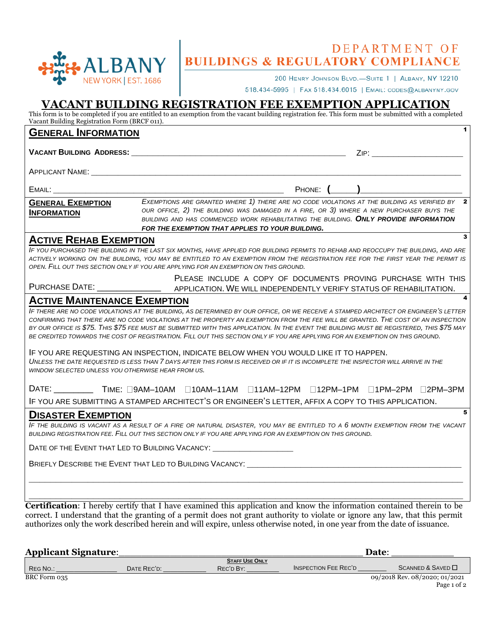

# DEPARTMENT OF **BUILDINGS & REGULATORY COMPLIANCE**

200 HENRY JOHNSON BLVD.-SUITE 1 | ALBANY, NY 12210

518.434-5995 | FAX 518.434.6015 | EMAIL: CODES@ALBANYNY.GOV

## **VACANT BUILDING REGISTRATION FEE EXEMPTION APPLICATION**

This form is to be completed if you are entitled to an exemption from the vacant building registration fee. This form must be submitted with a completed Vacant Building Registration Form (BRCF 011).

| <b>GENERAL INFORMATION</b>                                                                                                                                                                                                                                                                                                                                                                                                                                                                                                                                                                                                                                                                                                                                                                                                                                                                                                                   |                                                                                                                                                                                                                                                                                                                                       |                             | 1                                                             |
|----------------------------------------------------------------------------------------------------------------------------------------------------------------------------------------------------------------------------------------------------------------------------------------------------------------------------------------------------------------------------------------------------------------------------------------------------------------------------------------------------------------------------------------------------------------------------------------------------------------------------------------------------------------------------------------------------------------------------------------------------------------------------------------------------------------------------------------------------------------------------------------------------------------------------------------------|---------------------------------------------------------------------------------------------------------------------------------------------------------------------------------------------------------------------------------------------------------------------------------------------------------------------------------------|-----------------------------|---------------------------------------------------------------|
|                                                                                                                                                                                                                                                                                                                                                                                                                                                                                                                                                                                                                                                                                                                                                                                                                                                                                                                                              |                                                                                                                                                                                                                                                                                                                                       |                             |                                                               |
| APPLICANT NAME: A CONTRACT OF THE CONTRACT OF THE CONTRACT OF THE CONTRACT OF THE CONTRACT OF THE CONTRACT OF THE CONTRACT OF THE CONTRACT OF THE CONTRACT OF THE CONTRACT OF THE CONTRACT OF THE CONTRACT OF THE CONTRACT OF                                                                                                                                                                                                                                                                                                                                                                                                                                                                                                                                                                                                                                                                                                                |                                                                                                                                                                                                                                                                                                                                       |                             |                                                               |
|                                                                                                                                                                                                                                                                                                                                                                                                                                                                                                                                                                                                                                                                                                                                                                                                                                                                                                                                              |                                                                                                                                                                                                                                                                                                                                       | PHONE: $(\_\_\_\_\_\_\_\_\$ |                                                               |
| <b>GENERAL EXEMPTION</b><br><b>INFORMATION</b>                                                                                                                                                                                                                                                                                                                                                                                                                                                                                                                                                                                                                                                                                                                                                                                                                                                                                               | EXEMPTIONS ARE GRANTED WHERE 1) THERE ARE NO CODE VIOLATIONS AT THE BUILDING AS VERIFIED BY 2<br>OUR OFFICE, 2) THE BUILDING WAS DAMAGED IN A FIRE, OR 3) WHERE A NEW PURCHASER BUYS THE<br>BUILDING AND HAS COMMENCED WORK REHABILITATING THE BUILDING. ONLY PROVIDE INFORMATION<br>FOR THE EXEMPTION THAT APPLIES TO YOUR BUILDING. |                             |                                                               |
| <b>ACTIVE REHAB EXEMPTION</b>                                                                                                                                                                                                                                                                                                                                                                                                                                                                                                                                                                                                                                                                                                                                                                                                                                                                                                                |                                                                                                                                                                                                                                                                                                                                       |                             |                                                               |
| IF YOU PURCHASED THE BUILDING IN THE LAST SIX MONTHS, HAVE APPLIED FOR BUILDING PERMITS TO REHAB AND REOCCUPY THE BUILDING, AND ARE<br>ACTIVELY WORKING ON THE BUILDING, YOU MAY BE ENTITLED TO AN EXEMPTION FROM THE REGISTRATION FEE FOR THE FIRST YEAR THE PERMIT IS                                                                                                                                                                                                                                                                                                                                                                                                                                                                                                                                                                                                                                                                      | OPEN. FILL OUT THIS SECTION ONLY IF YOU ARE APPLYING FOR AN EXEMPTION ON THIS GROUND.                                                                                                                                                                                                                                                 |                             |                                                               |
|                                                                                                                                                                                                                                                                                                                                                                                                                                                                                                                                                                                                                                                                                                                                                                                                                                                                                                                                              |                                                                                                                                                                                                                                                                                                                                       |                             | PLEASE INCLUDE A COPY OF DOCUMENTS PROVING PURCHASE WITH THIS |
| <b>ACTIVE MAINTENANCE EXEMPTION</b><br>IF THERE ARE NO CODE VIOLATIONS AT THE BUILDING, AS DETERMINED BY OUR OFFICE, OR WE RECEIVE A STAMPED ARCHITECT OR ENGINEER'S LETTER<br>CONFIRMING THAT THERE ARE NO CODE VIOLATIONS AT THE PROPERTY AN EXEMPTION FROM THE FEE WILL BE GRANTED. THE COST OF AN INSPECTION<br>BY OUR OFFICE IS \$75. THIS \$75 FEE MUST BE SUBMITTED WITH THIS APPLICATION. IN THE EVENT THE BUILDING MUST BE REGISTERED, THIS \$75 MAY<br>BE CREDITED TOWARDS THE COST OF REGISTRATION. FILL OUT THIS SECTION ONLY IF YOU ARE APPLYING FOR AN EXEMPTION ON THIS GROUND.<br>IF YOU ARE REQUESTING AN INSPECTION, INDICATE BELOW WHEN YOU WOULD LIKE IT TO HAPPEN.<br>WINDOW SELECTED UNLESS YOU OTHERWISE HEAR FROM US.<br>DATE: ____________ TIME: □9AM-10AM □10AM-11AM □11AM-12PM □12PM-1PM □1PM-2PM □2PM-3PM<br>IF YOU ARE SUBMITTING A STAMPED ARCHITECT'S OR ENGINEER'S LETTER, AFFIX A COPY TO THIS APPLICATION. | UNLESS THE DATE REQUESTED IS LESS THAN 7 DAYS AFTER THIS FORM IS RECEIVED OR IF IT IS INCOMPLETE THE INSPECTOR WILL ARRIVE IN THE                                                                                                                                                                                                     |                             |                                                               |
| <b>DISASTER EXEMPTION</b>                                                                                                                                                                                                                                                                                                                                                                                                                                                                                                                                                                                                                                                                                                                                                                                                                                                                                                                    |                                                                                                                                                                                                                                                                                                                                       |                             |                                                               |
| IF THE BUILDING IS VACANT AS A RESULT OF A FIRE OR NATURAL DISASTER, YOU MAY BE ENTITLED TO A 6 MONTH EXEMPTION FROM THE VACANT<br>BUILDING REGISTRATION FEE. FILL OUT THIS SECTION ONLY IF YOU ARE APPLYING FOR AN EXEMPTION ON THIS GROUND.                                                                                                                                                                                                                                                                                                                                                                                                                                                                                                                                                                                                                                                                                                |                                                                                                                                                                                                                                                                                                                                       |                             |                                                               |
| DATE OF THE EVENT THAT LED TO BUILDING VACANCY: _________________________________                                                                                                                                                                                                                                                                                                                                                                                                                                                                                                                                                                                                                                                                                                                                                                                                                                                            |                                                                                                                                                                                                                                                                                                                                       |                             |                                                               |
| BRIEFLY DESCRIBE THE EVENT THAT LED TO BUILDING VACANCY:                                                                                                                                                                                                                                                                                                                                                                                                                                                                                                                                                                                                                                                                                                                                                                                                                                                                                     |                                                                                                                                                                                                                                                                                                                                       |                             |                                                               |
| Contification: I hereby certify that I have examined this application and know the information certained therein to be                                                                                                                                                                                                                                                                                                                                                                                                                                                                                                                                                                                                                                                                                                                                                                                                                       |                                                                                                                                                                                                                                                                                                                                       |                             |                                                               |

**Cification**: I hereby certify that I have examined this application and know the information contained therein to be correct. I understand that the granting of a permit does not grant authority to violate or ignore any law, that this permit authorizes only the work described herein and will expire, unless otherwise noted, in one year from the date of issuance.

| <b>Applicant Signature:</b> | Date:       |                       |                             |                               |
|-----------------------------|-------------|-----------------------|-----------------------------|-------------------------------|
|                             |             | <b>STAFF USE ONLY</b> |                             |                               |
| REG NO.:                    | DATE REC'D. | REC'D BY:             | <b>INSPECTION FEE REC'D</b> | $SCANNED & SAVED$ $\Box$      |
| BRC Form 035                |             |                       |                             | 09/2018 Rev. 08/2020; 01/2021 |
|                             |             |                       |                             | Page 1 of 2                   |